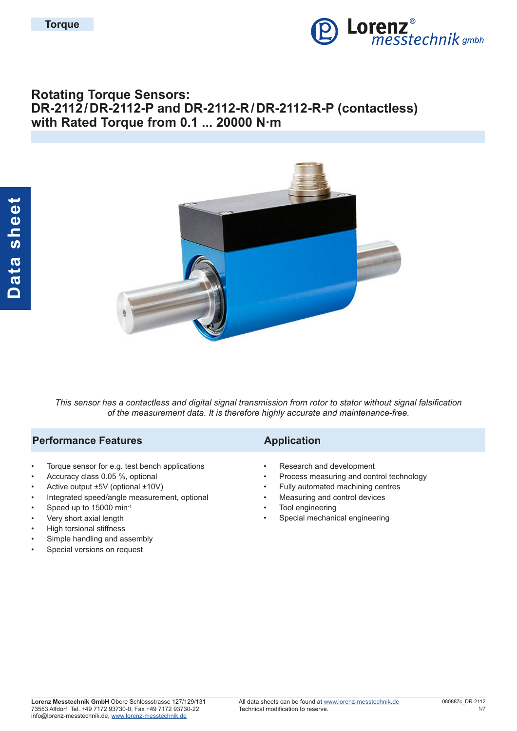

# **Rotating Torque Sensors: DR-2112/DR-2112-P and DR-2112-R/DR-2112-R-P (contactless) with Rated Torque from 0.1 ... 20000 N·m**



*This sensor has a contactless and digital signal transmission from rotor to stator without signal falsification of the measurement data. It is therefore highly accurate and maintenance-free.*

#### **Performance Features Application**

- Torque sensor for e.g. test bench applications
- Accuracy class 0.05 %, optional
- Active output ±5V (optional ±10V)
- Integrated speed/angle measurement, optional
- Speed up to 15000 min-1
- Very short axial length
- High torsional stiffness
- Simple handling and assembly
- Special versions on request

- Research and development
- Process measuring and control technology
- Fully automated machining centres
- Measuring and control devices
- Tool engineering
- Special mechanical engineering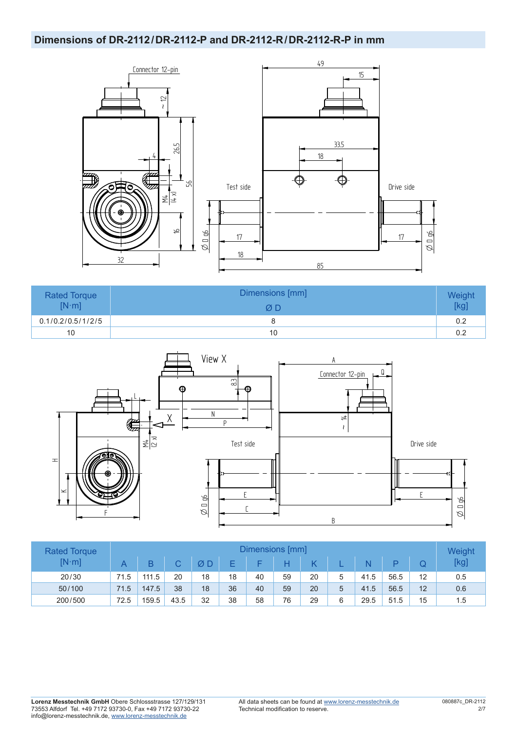#### **Dimensions of DR-2112/DR-2112-P and DR-2112-R/DR-2112-R-P in mm**



| <b>Rated Torque</b><br>$[N \cdot m]$ | Dimensions [mm]<br>ØΠ | Weight<br>[kg] |
|--------------------------------------|-----------------------|----------------|
| 0.1/0.2/0.5/1/2/5                    |                       | 0.2            |
| 10                                   | 10                    | 0.2            |



| <b>Rated Torque</b> | Dimensions [mm] |       |      |    |    |    |    |    |   |      | Weight |    |      |
|---------------------|-----------------|-------|------|----|----|----|----|----|---|------|--------|----|------|
| $[N \cdot m]$       |                 |       | C.   | ØΕ |    |    |    | D  |   |      |        |    | [kg] |
| 20/30               | 71.5            | 111.5 | 20   | 18 | 18 | 40 | 59 | 20 |   | 41.5 | 56.5   | 12 | 0.5  |
| 50/100              | 71.5            | 147.5 | 38   | 18 | 36 | 40 | 59 | 20 | 5 | 41.5 | 56.5   | 12 | 0.6  |
| 200/500             | 72.5            | 159.5 | 43.5 | 32 | 38 | 58 | 76 | 29 | 6 | 29.5 | 51.5   | 15 | 1.5  |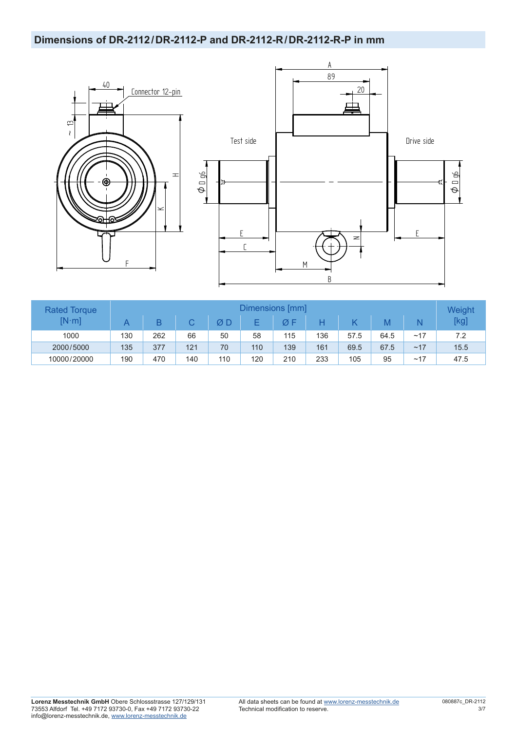## **Dimensions of DR-2112/DR-2112-P and DR-2112-R/DR-2112-R-P in mm**





| <b>Rated Torque</b> | Dimensions [mm] |     |     |     |     |     |     |      |      |     | Weight |
|---------------------|-----------------|-----|-----|-----|-----|-----|-----|------|------|-----|--------|
| $[N \cdot m]$       |                 |     |     |     |     |     |     |      | M    |     | [kg]   |
| 1000                | 130             | 262 | 66  | 50  | 58  | 115 | 136 | 57.5 | 64.5 | ~17 | 7.2    |
| 2000/5000           | 135             | 377 | 121 | 70  | 110 | 139 | 161 | 69.5 | 67.5 | ~17 | 15.5   |
| 10000/20000         | 190             | 470 | 140 | 110 | 120 | 210 | 233 | 105  | 95   | ~17 | 47.5   |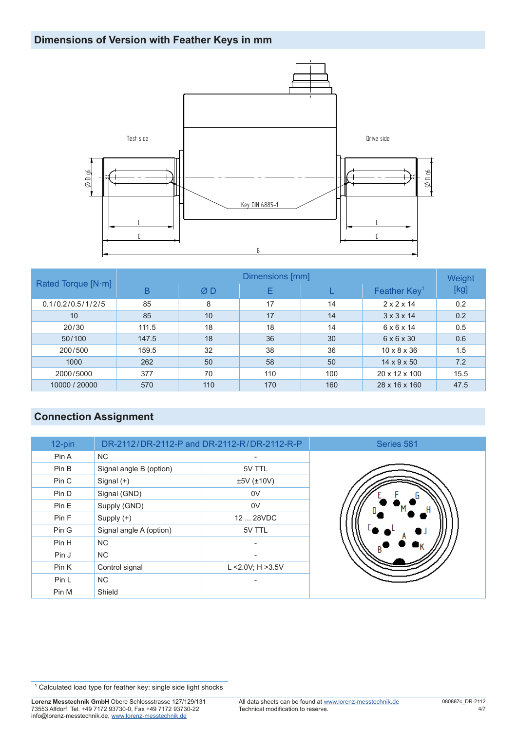# **Dimensions of Version with Feather Keys in mm**



|                    | Dimensions [mm] |     |     |     |                         |      |  |  |  |  |
|--------------------|-----------------|-----|-----|-----|-------------------------|------|--|--|--|--|
| Rated Torque [N·m] | B               | ØD  | E   |     | Feather $Key1$          | [kg] |  |  |  |  |
| 0.1/0.2/0.5/1/2/5  | 85              | 8   | 17  | 14  | $2 \times 2 \times 14$  | 0.2  |  |  |  |  |
| 10                 | 85              | 10  | 17  | 14  | $3 \times 3 \times 14$  | 0.2  |  |  |  |  |
| 20/30              | 111.5           | 18  | 18  | 14  | $6 \times 6 \times 14$  | 0.5  |  |  |  |  |
| 50/100             | 147.5           | 18  | 36  | 30  | $6 \times 6 \times 30$  | 0.6  |  |  |  |  |
| 200/500            | 159.5           | 32  | 38  | 36  | $10 \times 8 \times 36$ | 1.5  |  |  |  |  |
| 1000               | 262             | 50  | 58  | 50  | $14 \times 9 \times 50$ | 7.2  |  |  |  |  |
| 2000/5000          | 377             | 70  | 110 | 100 | 20 x 12 x 100           | 15.5 |  |  |  |  |
| 10000 / 20000      | 570             | 110 | 170 | 160 | 28 x 16 x 160           | 47.5 |  |  |  |  |

# **Connection Assignment**

| 12-pin |                         | DR-2112/DR-2112-P and DR-2112-R/DR-2112-R-P |
|--------|-------------------------|---------------------------------------------|
| Pin A  | <b>NC</b>               |                                             |
| Pin B  | Signal angle B (option) | 5V TTL                                      |
| Pin C  | Signal $(+)$            | $±5V$ ( $±10V$ )                            |
| Pin D  | Signal (GND)            | 0V                                          |
| Pin E  | Supply (GND)            | 0V                                          |
| Pin F  | Supply $(+)$            | 12  28VDC                                   |
| Pin G  | Signal angle A (option) | 5V TTL                                      |
| Pin H  | <b>NC</b>               |                                             |
| Pin J  | <b>NC</b>               |                                             |
| Pin K  | Control signal          | L < $2.0V$ ; H > $3.5V$                     |
| Pin L  | <b>NC</b>               |                                             |
| Pin M  | Shield                  |                                             |



<sup>&</sup>lt;sup>1</sup> Calculated load type for feather key: single side light shocks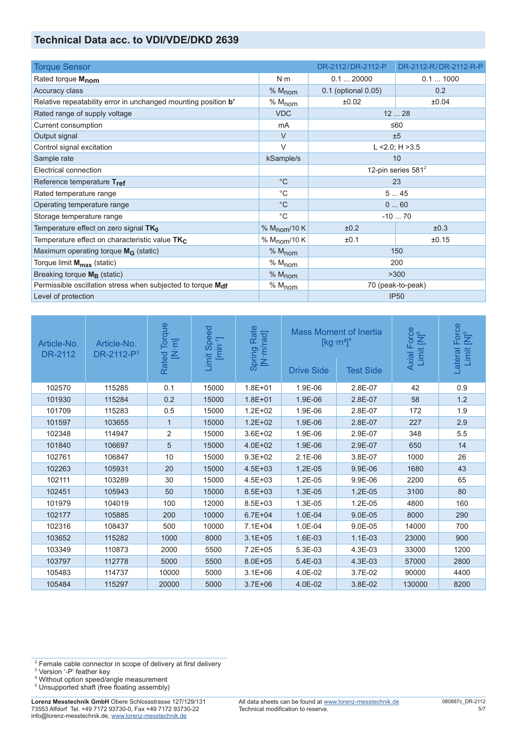### **Technical Data acc. to VDI/VDE/DKD 2639**

| <b>Torque Sensor</b>                                           |                          | DR-2112/DR-2112-P   | DR-2112-R/DR-2112-R-P          |  |
|----------------------------------------------------------------|--------------------------|---------------------|--------------------------------|--|
| Rated torque Mnom                                              | $N \cdot m$              | 0.120000            | 0.11000                        |  |
| Accuracy class                                                 | % M <sub>nom</sub>       | 0.1 (optional 0.05) | 0.2                            |  |
| Relative repeatability error in unchanged mounting position b' | $% M_{nom}$              | ±0.02               | ±0.04                          |  |
| Rated range of supply voltage                                  | <b>VDC</b>               |                     | 1228                           |  |
| Current consumption                                            | mA                       |                     | ≤60                            |  |
| Output signal                                                  | $\vee$                   |                     | ±5                             |  |
| Control signal excitation                                      | $\vee$                   |                     | L <2.0; $H > 3.5$              |  |
| Sample rate                                                    | kSample/s                | 10                  |                                |  |
| Electrical connection                                          |                          |                     | 12-pin series 581 <sup>2</sup> |  |
| Reference temperature Tref                                     | $^{\circ}C$              | 23                  |                                |  |
| Rated temperature range                                        | $^{\circ}C$              | 545                 |                                |  |
| Operating temperature range                                    | $^{\circ}C$              |                     | 060                            |  |
| Storage temperature range                                      | $^{\circ}C$              |                     | $-1070$                        |  |
| Temperature effect on zero signal TK <sub>0</sub>              | % $M_{\text{nom}}$ /10 K | ±0.2                | ±0.3                           |  |
| Temperature effect on characteristic value $TK_C$              | % M <sub>nom</sub> /10 K | ±0.1                | ±0.15                          |  |
| Maximum operating torque $M_G$ (static)                        | % M <sub>nom</sub>       |                     | 150                            |  |
| Torque limit M <sub>max</sub> (static)                         | % $M_{\text{nom}}$       |                     | 200                            |  |
| Breaking torque $M_B$ (static)                                 | % M <sub>nom</sub>       |                     | >300                           |  |
| Permissible oscillation stress when subjected to torque Mdf    | % M <sub>nom</sub>       |                     | 70 (peak-to-peak)              |  |
| Level of protection                                            |                          |                     | <b>IP50</b>                    |  |

| Article-No.<br>DR-2112 | Article-No.<br>DR-2112-P <sup>3</sup> | Torque<br>$\begin{bmatrix} \mathbf{N} \cdot \mathbf{m} \end{bmatrix}$<br>Rated | Speed<br>$[\text{min-1}]$<br>Limit | Rate<br>Spring Rate<br>[N·m/rad] | <b>Mass Moment of Inertia</b><br><b>Drive Side</b> | $\left[\text{kg}\cdot\text{m}^2\right]^4$<br><b>Test Side</b> | Axial Force<br>Limit [N] <sup>5</sup> | Force<br>[N] <sup>5</sup><br>Limit<br>Lateral |
|------------------------|---------------------------------------|--------------------------------------------------------------------------------|------------------------------------|----------------------------------|----------------------------------------------------|---------------------------------------------------------------|---------------------------------------|-----------------------------------------------|
| 102570                 | 115285                                | 0.1                                                                            | 15000                              | $1.8E + 01$                      | 1.9E-06                                            | 2.8E-07                                                       | 42                                    | 0.9                                           |
| 101930                 | 115284                                | 0.2                                                                            | 15000                              | $1.8E + 01$                      | 1.9E-06                                            | 2.8E-07                                                       | 58                                    | 1.2                                           |
| 101709                 | 115283                                | 0.5                                                                            | 15000                              | $1.2E + 02$                      | 1.9E-06                                            | 2.8E-07                                                       | 172                                   | 1.9                                           |
| 101597                 | 103655                                | 1                                                                              | 15000                              | $1.2E + 02$                      | 1.9E-06                                            | 2.8E-07                                                       | 227                                   | 2.9                                           |
| 102348                 | 114947                                | 2                                                                              | 15000                              | $3.6E + 02$                      | 1.9E-06                                            | 2.9E-07                                                       | 348                                   | 5.5                                           |
| 101840                 | 106697                                | 5                                                                              | 15000                              | $4.0E + 02$                      | 1.9E-06                                            | 2.9E-07                                                       | 650                                   | 14                                            |
| 102761                 | 106847                                | 10                                                                             | 15000                              | $9.3E + 02$                      | $2.1E-06$                                          | 3.8E-07                                                       | 1000                                  | 26                                            |
| 102263                 | 105931                                | 20                                                                             | 15000                              | $4.5E + 03$                      | $1.2E-05$                                          | 9.9E-06                                                       | 1680                                  | 43                                            |
| 102111                 | 103289                                | 30                                                                             | 15000                              | $4.5E + 03$                      | 1.2E-05                                            | 9.9E-06                                                       | 2200                                  | 65                                            |
| 102451                 | 105943                                | 50                                                                             | 15000                              | $8.5E + 03$                      | 1.3E-05                                            | $1.2E-05$                                                     | 3100                                  | 80                                            |
| 101979                 | 104019                                | 100                                                                            | 12000                              | $8.5E + 03$                      | 1.3E-05                                            | 1.2E-05                                                       | 4800                                  | 160                                           |
| 102177                 | 105885                                | 200                                                                            | 10000                              | $6.7E + 04$                      | 1.0E-04                                            | $9.0E-05$                                                     | 8000                                  | 290                                           |
| 102316                 | 108437                                | 500                                                                            | 10000                              | $7.1E + 04$                      | 1.0E-04                                            | 9.0E-05                                                       | 14000                                 | 700                                           |
| 103652                 | 115282                                | 1000                                                                           | 8000                               | $3.1E + 05$                      | 1.6E-03                                            | $1.1E-03$                                                     | 23000                                 | 900                                           |
| 103349                 | 110873                                | 2000                                                                           | 5500                               | $7.2E + 05$                      | 5.3E-03                                            | 4.3E-03                                                       | 33000                                 | 1200                                          |
| 103797                 | 112778                                | 5000                                                                           | 5500                               | $8.0E + 05$                      | 5.4E-03                                            | 4.3E-03                                                       | 57000                                 | 2800                                          |
| 105483                 | 114737                                | 10000                                                                          | 5000                               | $3.1E + 06$                      | 4.0E-02                                            | 3.7E-02                                                       | 90000                                 | 4400                                          |
| 105484                 | 115297                                | 20000                                                                          | 5000                               | $3.7E + 06$                      | 4.0E-02                                            | 3.8E-02                                                       | 130000                                | 8200                                          |

<sup>&</sup>lt;sup>2</sup> Female cable connector in scope of delivery at first delivery<br><sup>3</sup> Version '-P' feather key<br><sup>4</sup> Without option speed/angle measurement

<sup>&</sup>lt;sup>5</sup> Unsupported shaft (free floating assembly)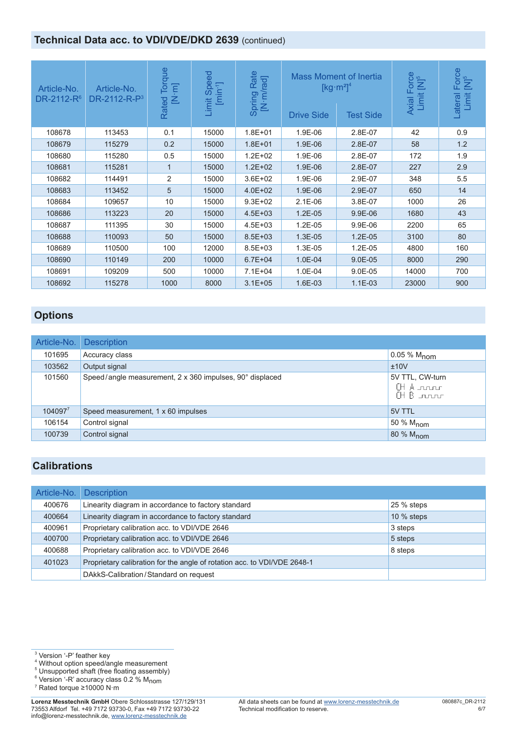## **Technical Data acc. to VDI/VDE/DKD 2639 (continued)**

| Article-No.<br>DR-2112-R <sup>6</sup> | Article-No.<br>DR-2112-R- $P3$ | lorque<br>$\overline{E}$<br>叾<br>Rated | $\overline{6}$<br>Sper<br>$[min-1]$<br>Limit | Rate<br>[N·m/rad]<br>Spring | <b>Drive Side</b> | <b>Mass Moment of Inertia</b><br>[kg $\cdot$ m <sup>2</sup> ] <sup>4</sup><br><b>Test Side</b> | Axial Force<br>Limit [N] <sup>5</sup> | Force<br>$\sum_{i=1}^{n}$<br>Limit<br>Lateral |
|---------------------------------------|--------------------------------|----------------------------------------|----------------------------------------------|-----------------------------|-------------------|------------------------------------------------------------------------------------------------|---------------------------------------|-----------------------------------------------|
| 108678                                | 113453                         | 0.1                                    | 15000                                        | $1.8E + 01$                 | 1.9E-06           | 2.8E-07                                                                                        | 42                                    | 0.9                                           |
| 108679                                | 115279                         | 0.2                                    | 15000                                        | $1.8E + 01$                 | 1.9E-06           | 2.8E-07                                                                                        | 58                                    | 1.2                                           |
| 108680                                | 115280                         | 0.5                                    | 15000                                        | $1.2E + 02$                 | 1.9E-06           | 2.8E-07                                                                                        | 172                                   | 1.9                                           |
| 108681                                | 115281                         | $\mathbf 1$                            | 15000                                        | $1.2E + 02$                 | 1.9E-06           | 2.8E-07                                                                                        | 227                                   | 2.9                                           |
| 108682                                | 114491                         | 2                                      | 15000                                        | $3.6E + 02$                 | 1.9E-06           | 2.9E-07                                                                                        | 348                                   | 5.5                                           |
| 108683                                | 113452                         | 5                                      | 15000                                        | $4.0E + 02$                 | 1.9E-06           | 2.9E-07                                                                                        | 650                                   | 14                                            |
| 108684                                | 109657                         | 10                                     | 15000                                        | $9.3E + 02$                 | $2.1E-06$         | 3.8E-07                                                                                        | 1000                                  | 26                                            |
| 108686                                | 113223                         | 20                                     | 15000                                        | $4.5E + 03$                 | $1.2E-05$         | 9.9E-06                                                                                        | 1680                                  | 43                                            |
| 108687                                | 111395                         | 30                                     | 15000                                        | $4.5E + 03$                 | 1.2E-05           | 9.9E-06                                                                                        | 2200                                  | 65                                            |
| 108688                                | 110093                         | 50                                     | 15000                                        | $8.5E + 03$                 | 1.3E-05           | $1.2E-05$                                                                                      | 3100                                  | 80                                            |
| 108689                                | 110500                         | 100                                    | 12000                                        | $8.5E + 03$                 | 1.3E-05           | 1.2E-05                                                                                        | 4800                                  | 160                                           |
| 108690                                | 110149                         | 200                                    | 10000                                        | $6.7E + 04$                 | 1.0E-04           | $9.0E - 05$                                                                                    | 8000                                  | 290                                           |
| 108691                                | 109209                         | 500                                    | 10000                                        | $7.1E + 04$                 | 1.0E-04           | 9.0E-05                                                                                        | 14000                                 | 700                                           |
| 108692                                | 115278                         | 1000                                   | 8000                                         | $3.1E + 05$                 | 1.6E-03           | $1.1E-03$                                                                                      | 23000                                 | 900                                           |

# **Options**

| Article-No. | <b>Description</b>                                       |                                          |
|-------------|----------------------------------------------------------|------------------------------------------|
| 101695      | Accuracy class                                           | $0.05 \% M_{\text{nom}}$                 |
| 103562      | Output signal                                            | ±10V                                     |
| 101560      | Speed/angle measurement, 2 x 360 impulses, 90° displaced | 5V TTL, CW-turn<br>(HA roor<br>(HB nunur |
| $104097^7$  | Speed measurement, 1 x 60 impulses                       | 5V TTL                                   |
| 106154      | Control signal                                           | $150%$ M <sub>nom</sub>                  |
| 100739      | Control signal                                           | 80 % M <sub>nom</sub>                    |

## **Calibrations**

| Article-No. | <b>Description</b>                                                       |              |
|-------------|--------------------------------------------------------------------------|--------------|
| 400676      | Linearity diagram in accordance to factory standard                      | 25 % steps   |
| 400664      | Linearity diagram in accordance to factory standard                      | $10\%$ steps |
| 400961      | Proprietary calibration acc. to VDI/VDE 2646                             | 3 steps      |
| 400700      | Proprietary calibration acc. to VDI/VDE 2646                             | 5 steps      |
| 400688      | Proprietary calibration acc. to VDI/VDE 2646                             | 8 steps      |
| 401023      | Proprietary calibration for the angle of rotation acc. to VDI/VDE 2648-1 |              |
|             | DAkkS-Calibration/Standard on request                                    |              |

3 Version '-P' feather key 4 Without option speed/angle measurement 5 Unsupported shaft (free floating assembly)

<sup>6</sup> Version '-R' accuracy class 0.2 % M<sub>nom</sub><br>7 Rated torgue >10000 N·m

Rated torque ≥10000 N·m